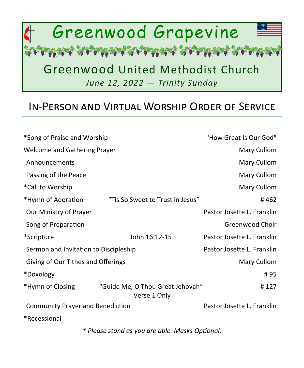# Greenwood Grapevine

### Greenwood United Methodist Church *June 12, 2022 — Trinity Sunday*

E SEPTYLANS SEPTYLANS SEP

### In-Person and Virtual Worship Order of Service

| *Song of Praise and Worship             |                                                  | "How Great Is Our God"     |
|-----------------------------------------|--------------------------------------------------|----------------------------|
| Welcome and Gathering Prayer            |                                                  | Mary Cullom                |
| Announcements                           |                                                  | Mary Cullom                |
| Passing of the Peace                    |                                                  | Mary Cullom                |
| *Call to Worship                        |                                                  | Mary Cullom                |
| *Hymn of Adoration                      | "Tis So Sweet to Trust in Jesus"                 | #462                       |
| Our Ministry of Prayer                  |                                                  | Pastor Josette L. Franklin |
| Song of Preparation                     |                                                  | Greenwood Choir            |
| *Scripture                              | John 16:12-15                                    | Pastor Josette L. Franklin |
| Sermon and Invitation to Discipleship   |                                                  | Pastor Josette L. Franklin |
| Giving of Our Tithes and Offerings      |                                                  | Mary Cullom                |
| *Doxology                               |                                                  | #95                        |
| *Hymn of Closing                        | "Guide Me, O Thou Great Jehovah"<br>Verse 1 Only | #127                       |
| <b>Community Prayer and Benediction</b> |                                                  | Pastor Josette L. Franklin |
| *Recessional                            |                                                  |                            |

*\* Please stand as you are able. Masks Optional.*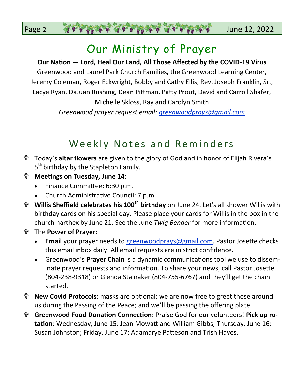## Our Ministry of Prayer

Page 2 June 12, 2022

#### **Our Nation — Lord, Heal Our Land, All Those Affected by the COVID-19 Virus**

Greenwood and Laurel Park Church Families, the Greenwood Learning Center, Jeremy Coleman, Roger Eckwright, Bobby and Cathy Ellis, Rev. Joseph Franklin, Sr., Lacye Ryan, DaJuan Rushing, Dean Pittman, Patty Prout, David and Carroll Shafer, Michelle Skloss, Ray and Carolyn Smith

*Greenwood prayer request email: [greenwoodprays@gmail.com](mailto:greenwoodprays@gmail.com)*

### Weekly Notes and Reminders

- Today's **altar flowers** are given to the glory of God and in honor of Elijah Rivera's 5<sup>th</sup> birthday by the Stapleton Family.
- **Meetings on Tuesday, June 14**:
	- Finance Committee: 6:30 p.m.
	- Church Administrative Council: 7 p.m.
- **Willis Sheffield celebrates his 100th birthday** on June 24. Let's all shower Willis with birthday cards on his special day. Please place your cards for Willis in the box in the church narthex by June 21. See the June *Twig Bender* for more information.
- The **Power of Prayer**:
	- **Email** your prayer needs to [greenwoodprays@gmail.com.](mailto:greenwoodprays@gmail.com) Pastor Josette checks this email inbox daily. All email requests are in strict confidence.
	- Greenwood's **Prayer Chain** is a dynamic communications tool we use to disseminate prayer requests and information. To share your news, call Pastor Josette (804-238-9318) or Glenda Stalnaker (804-755-6767) and they'll get the chain started.
- **New Covid Protocols**: masks are optional; we are now free to greet those around us during the Passing of the Peace; and we'll be passing the offering plate.
- **Greenwood Food Donation Connection**: Praise God for our volunteers! **Pick up rotation**: Wednesday, June 15: Jean Mowatt and William Gibbs; Thursday, June 16: Susan Johnston; Friday, June 17: Adamarye Patteson and Trish Hayes.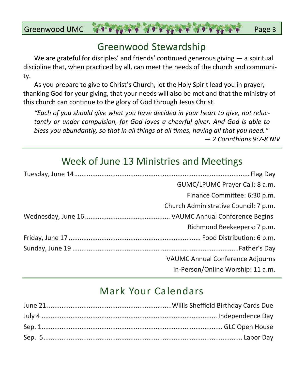#### Greenwood UMC **BOYS AND RESIDENT STATE 3 AND RANGED**

We are grateful for disciples' and friends' continued generous giving — a spiritual discipline that, when practiced by all, can meet the needs of the church and community.

As you prepare to give to Christ's Church, let the Holy Spirit lead you in prayer, thanking God for your giving, that your needs will also be met and that the ministry of this church can continue to the glory of God through Jesus Christ.

*"Each of you should give what you have decided in your heart to give, not reluctantly or under compulsion, for God loves a cheerful giver. And God is able to bless you abundantly, so that in all things at all times, having all that you need." — 2 Corinthians 9:7-8 NIV*

### Week of June 13 Ministries and Meetings

| GUMC/LPUMC Prayer Call: 8 a.m.        |
|---------------------------------------|
| Finance Committee: 6:30 p.m.          |
| Church Administrative Council: 7 p.m. |
|                                       |
| Richmond Beekeepers: 7 p.m.           |
|                                       |
|                                       |
| VAUMC Annual Conference Adjourns      |
| In-Person/Online Worship: 11 a.m.     |

### Mark Your Calendars